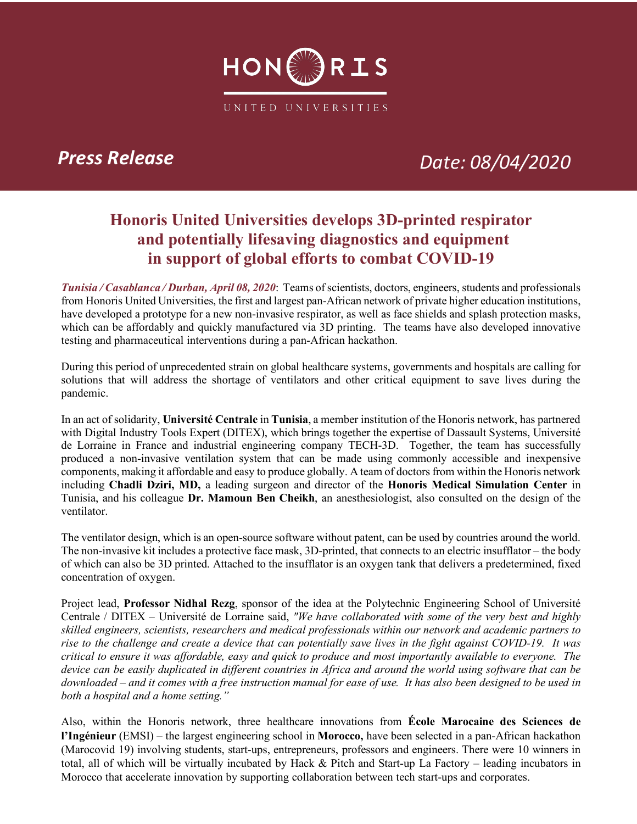

# *Press Release Date: 08/04/2020*

## **Honoris United Universities develops 3D-printed respirator and potentially lifesaving diagnostics and equipment in support of global efforts to combat COVID-19**

*Tunisia / Casablanca / Durban, April 08, 2020*: Teams of scientists, doctors, engineers, students and professionals from Honoris United Universities, the first and largest pan-African network of private higher education institutions, have developed a prototype for a new non-invasive respirator, as well as face shields and splash protection masks, which can be affordably and quickly manufactured via 3D printing. The teams have also developed innovative testing and pharmaceutical interventions during a pan-African hackathon.

During this period of unprecedented strain on global healthcare systems, governments and hospitals are calling for solutions that will address the shortage of ventilators and other critical equipment to save lives during the pandemic.

In an act of solidarity, **Université Centrale** in **Tunisia**, a member institution of the Honoris network, has partnered with Digital Industry Tools Expert (DITEX), which brings together the expertise of Dassault Systems, Université de Lorraine in France and industrial engineering company TECH-3D. Together, the team has successfully produced a non-invasive ventilation system that can be made using commonly accessible and inexpensive components, making it affordable and easy to produce globally. A team of doctors from within the Honoris network including **Chadli Dziri, MD,** a leading surgeon and director of the **Honoris Medical Simulation Center** in Tunisia, and his colleague **Dr. Mamoun Ben Cheikh**, an anesthesiologist, also consulted on the design of the ventilator.

The ventilator design, which is an open-source software without patent, can be used by countries around the world. The non-invasive kit includes a protective face mask, 3D-printed, that connects to an electric insufflator – the body of which can also be 3D printed. Attached to the insufflator is an oxygen tank that delivers a predetermined, fixed concentration of oxygen.

Project lead, **Professor Nidhal Rezg**, sponsor of the idea at the Polytechnic Engineering School of Université Centrale / DITEX – Université de Lorraine said, *"We have collaborated with some of the very best and highly skilled engineers, scientists, researchers and medical professionals within our network and academic partners to rise to the challenge and create a device that can potentially save lives in the fight against COVID-19. It was critical to ensure it was affordable, easy and quick to produce and most importantly available to everyone. The device can be easily duplicated in different countries in Africa and around the world using software that can be downloaded – and it comes with a free instruction manual for ease of use. It has also been designed to be used in both a hospital and a home setting."*

Also, within the Honoris network, three healthcare innovations from **École Marocaine des Sciences de l'Ingénieur** (EMSI) – the largest engineering school in **Morocco,** have been selected in a pan-African hackathon (Marocovid 19) involving students, start-ups, entrepreneurs, professors and engineers. There were 10 winners in total, all of which will be virtually incubated by Hack & Pitch and Start-up La Factory – leading incubators in Morocco that accelerate innovation by supporting collaboration between tech start-ups and corporates.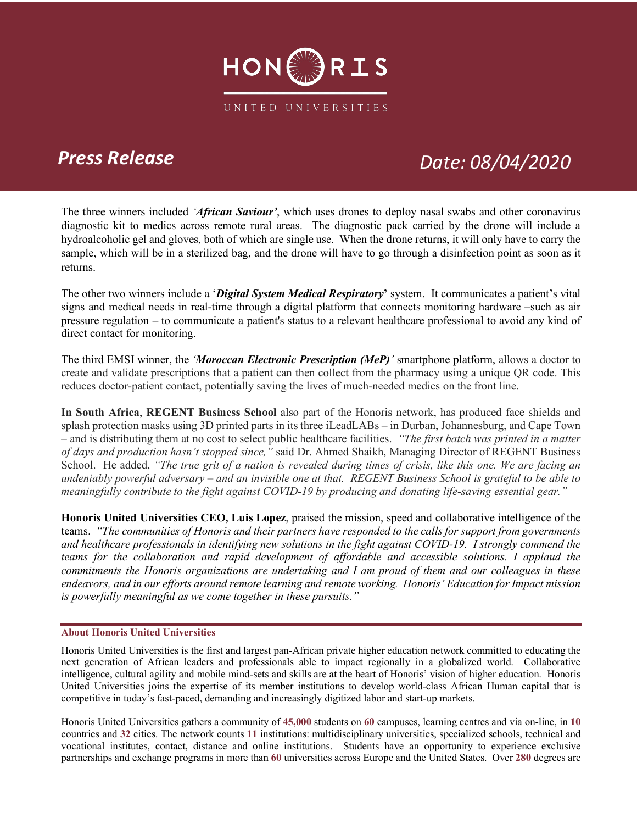

# *Press Release Date: 08/04/2020*

The three winners included *'African Saviour'*, which uses drones to deploy nasal swabs and other coronavirus diagnostic kit to medics across remote rural areas. The diagnostic pack carried by the drone will include a hydroalcoholic gel and gloves, both of which are single use. When the drone returns, it will only have to carry the sample, which will be in a sterilized bag, and the drone will have to go through a disinfection point as soon as it returns.

The other two winners include a '*Digital System Medical Respiratory***'** system. It communicates a patient's vital signs and medical needs in real-time through a digital platform that connects monitoring hardware –such as air pressure regulation – to communicate a patient's status to a relevant healthcare professional to avoid any kind of direct contact for monitoring.

The third EMSI winner, the *'Moroccan Electronic Prescription (MeP)'* smartphone platform, allows a doctor to create and validate prescriptions that a patient can then collect from the pharmacy using a unique QR code. This reduces doctor-patient contact, potentially saving the lives of much-needed medics on the front line.

**In South Africa**, **REGENT Business School** also part of the Honoris network, has produced face shields and splash protection masks using 3D printed parts in its three iLeadLABs – in Durban, Johannesburg, and Cape Town – and is distributing them at no cost to select public healthcare facilities. *"The first batch was printed in a matter of days and production hasn't stopped since,"* said Dr. Ahmed Shaikh, Managing Director of REGENT Business School. He added, *"The true grit of a nation is revealed during times of crisis, like this one. We are facing an undeniably powerful adversary – and an invisible one at that. REGENT Business School is grateful to be able to meaningfully contribute to the fight against COVID-19 by producing and donating life-saving essential gear."*

**Honoris United Universities CEO, Luis Lopez**, praised the mission, speed and collaborative intelligence of the teams. *"The communities of Honoris and their partners have responded to the calls for support from governments and healthcare professionals in identifying new solutions in the fight against COVID-19.**I strongly commend the teams for the collaboration and rapid development of affordable and accessible solutions. I applaud the commitments the Honoris organizations are undertaking and I am proud of them and our colleagues in these endeavors, and in our efforts around remote learning and remote working. Honoris' Education for Impact mission is powerfully meaningful as we come together in these pursuits."*

### **About Honoris United Universities**

Honoris United Universities is the first and largest pan-African private higher education network committed to educating the next generation of African leaders and professionals able to impact regionally in a globalized world. Collaborative intelligence, cultural agility and mobile mind-sets and skills are at the heart of Honoris' vision of higher education. Honoris United Universities joins the expertise of its member institutions to develop world-class African Human capital that is competitive in today's fast-paced, demanding and increasingly digitized labor and start-up markets.

Honoris United Universities gathers a community of **45,000** students on **60** campuses, learning centres and via on-line, in **10**  countries and **32** cities. The network counts **11** institutions: multidisciplinary universities, specialized schools, technical and vocational institutes, contact, distance and online institutions. Students have an opportunity to experience exclusive partnerships and exchange programs in more than **60** universities across Europe and the United States. Over **280** degrees are